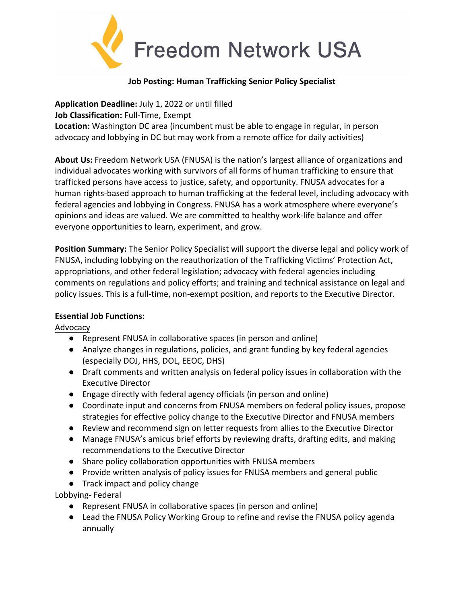

## **Job Posting: Human Trafficking Senior Policy Specialist**

**Application Deadline:** July 1, 2022 or until filled **Job Classification:** Full-Time, Exempt **Location:** Washington DC area (incumbent must be able to engage in regular, in person advocacy and lobbying in DC but may work from a remote office for daily activities)

**About Us:** Freedom Network USA (FNUSA) is the nation's largest alliance of organizations and individual advocates working with survivors of all forms of human trafficking to ensure that trafficked persons have access to justice, safety, and opportunity. FNUSA advocates for a human rights-based approach to human trafficking at the federal level, including advocacy with federal agencies and lobbying in Congress. FNUSA has a work atmosphere where everyone's opinions and ideas are valued. We are committed to healthy work-life balance and offer everyone opportunities to learn, experiment, and grow.

**Position Summary:** The Senior Policy Specialist will support the diverse legal and policy work of FNUSA, including lobbying on the reauthorization of the Trafficking Victims' Protection Act, appropriations, and other federal legislation; advocacy with federal agencies including comments on regulations and policy efforts; and training and technical assistance on legal and policy issues. This is a full-time, non-exempt position, and reports to the Executive Director.

## **Essential Job Functions:**

Advocacy

- Represent FNUSA in collaborative spaces (in person and online)
- Analyze changes in regulations, policies, and grant funding by key federal agencies (especially DOJ, HHS, DOL, EEOC, DHS)
- Draft comments and written analysis on federal policy issues in collaboration with the Executive Director
- Engage directly with federal agency officials (in person and online)
- Coordinate input and concerns from FNUSA members on federal policy issues, propose strategies for effective policy change to the Executive Director and FNUSA members
- Review and recommend sign on letter requests from allies to the Executive Director
- Manage FNUSA's amicus brief efforts by reviewing drafts, drafting edits, and making recommendations to the Executive Director
- Share policy collaboration opportunities with FNUSA members
- Provide written analysis of policy issues for FNUSA members and general public
- Track impact and policy change

Lobbying- Federal

- Represent FNUSA in collaborative spaces (in person and online)
- Lead the FNUSA Policy Working Group to refine and revise the FNUSA policy agenda annually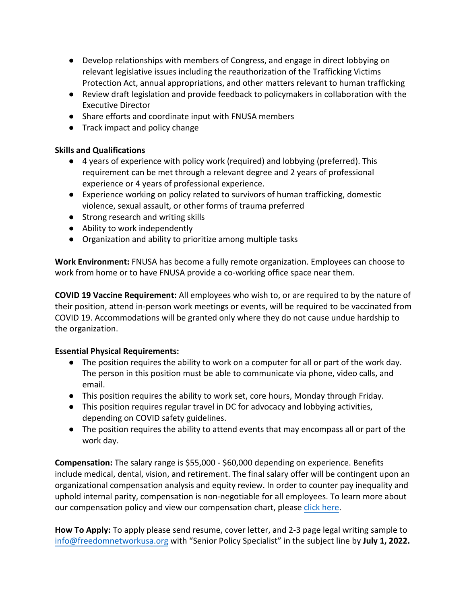- Develop relationships with members of Congress, and engage in direct lobbying on relevant legislative issues including the reauthorization of the Trafficking Victims Protection Act, annual appropriations, and other matters relevant to human trafficking
- Review draft legislation and provide feedback to policymakers in collaboration with the Executive Director
- Share efforts and coordinate input with FNUSA members
- Track impact and policy change

## **Skills and Qualifications**

- 4 years of experience with policy work (required) and lobbying (preferred). This requirement can be met through a relevant degree and 2 years of professional experience or 4 years of professional experience.
- Experience working on policy related to survivors of human trafficking, domestic violence, sexual assault, or other forms of trauma preferred
- Strong research and writing skills
- Ability to work independently
- Organization and ability to prioritize among multiple tasks

**Work Environment:** FNUSA has become a fully remote organization. Employees can choose to work from home or to have FNUSA provide a co-working office space near them.

**COVID 19 Vaccine Requirement:** All employees who wish to, or are required to by the nature of their position, attend in-person work meetings or events, will be required to be vaccinated from COVID 19. Accommodations will be granted only where they do not cause undue hardship to the organization.

## **Essential Physical Requirements:**

- The position requires the ability to work on a computer for all or part of the work day. The person in this position must be able to communicate via phone, video calls, and email.
- This position requires the ability to work set, core hours, Monday through Friday.
- This position requires regular travel in DC for advocacy and lobbying activities, depending on COVID safety guidelines.
- The position requires the ability to attend events that may encompass all or part of the work day.

**Compensation:** The salary range is \$55,000 - \$60,000 depending on experience. Benefits include medical, dental, vision, and retirement. The final salary offer will be contingent upon an organizational compensation analysis and equity review. In order to counter pay inequality and uphold internal parity, compensation is non-negotiable for all employees. To learn more about our compensation policy and view our compensation chart, please [click here.](http://freedomnetworkusa.org/app/uploads/2022/05/FNUSA-Compensation-Chart-Philosophy-Feb-2022.pdf) 

**How To Apply:** To apply please send resume, cover letter, and 2-3 page legal writing sample to [info@freedomnetworkusa.org](about:blank) with "Senior Policy Specialist" in the subject line by **July 1, 2022.**